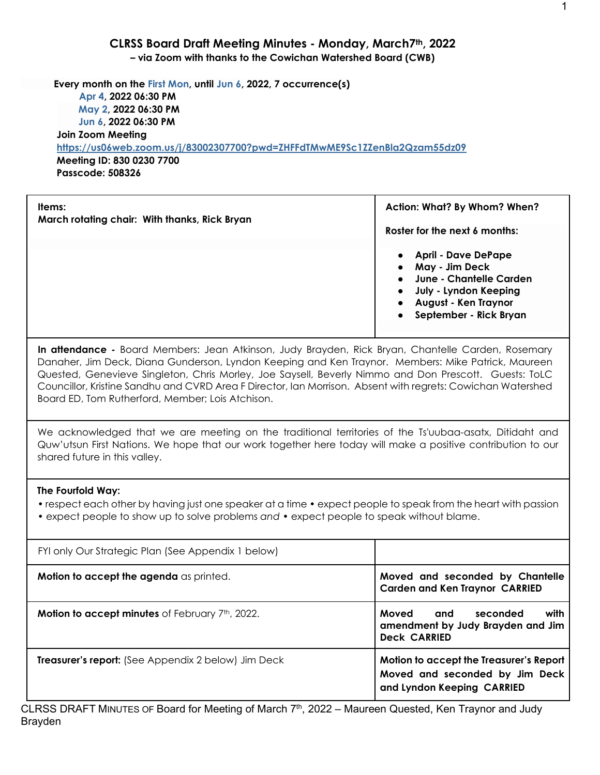#### **CLRSS Board Draft Meeting Minutes - Monday, March7th, 2022**

**– via Zoom with thanks to the Cowichan Watershed Board (CWB)**

 **Every month on the First Mon, until Jun 6, 2022, 7 occurrence(s) Apr 4, 2022 06:30 PM May 2, 2022 06:30 PM Jun 6, 2022 06:30 PM Join Zoom Meeting <https://us06web.zoom.us/j/83002307700?pwd=ZHFFdTMwME9Sc1ZZenBla2Qzam55dz09> Meeting ID: 830 0230 7700 Passcode: 508326**

| Items:<br>March rotating chair: With thanks, Rick Bryan | Action: What? By Whom? When?                                                                                                                                                                           |  |  |
|---------------------------------------------------------|--------------------------------------------------------------------------------------------------------------------------------------------------------------------------------------------------------|--|--|
|                                                         | Roster for the next 6 months:                                                                                                                                                                          |  |  |
|                                                         | <b>April - Dave DePape</b><br>$\bullet$<br>May - Jim Deck<br>$\bullet$<br>June - Chantelle Carden<br>$\bullet$<br>July - Lyndon Keeping<br>August - Ken Traynor<br>September - Rick Bryan<br>$\bullet$ |  |  |

**In attendance -** Board Members: Jean Atkinson, Judy Brayden, Rick Bryan, Chantelle Carden, Rosemary Danaher, Jim Deck, Diana Gunderson, Lyndon Keeping and Ken Traynor. Members: Mike Patrick, Maureen Quested, Genevieve Singleton, Chris Morley, Joe Saysell, Beverly Nimmo and Don Prescott. Guests: ToLC Councillor, Kristine Sandhu and CVRD Area F Director, Ian Morrison. Absent with regrets: Cowichan Watershed Board ED, Tom Rutherford, Member; Lois Atchison.

We acknowledged that we are meeting on the traditional territories of the Ts'uubaa-asatx, Ditidaht and Quw'utsun First Nations. We hope that our work together here today will make a positive contribution to our shared future in this valley.

#### **The Fourfold Way:**

• respect each other by having just one speaker at a time • expect people to speak from the heart with passion

• expect people to show up to solve problems *and* • expect people to speak without blame.

| FYI only Our Strategic Plan (See Appendix 1 below)         |                                                                                                         |
|------------------------------------------------------------|---------------------------------------------------------------------------------------------------------|
| Motion to accept the agenda as printed.                    | Moved and seconded by Chantelle<br><b>Carden and Ken Traynor CARRIED</b>                                |
| Motion to accept minutes of February 7th, 2022.            | Moved<br>with<br>seconded<br>and<br>amendment by Judy Brayden and Jim<br><b>Deck CARRIED</b>            |
| <b>Treasurer's report:</b> (See Appendix 2 below) Jim Deck | Motion to accept the Treasurer's Report<br>Moved and seconded by Jim Deck<br>and Lyndon Keeping CARRIED |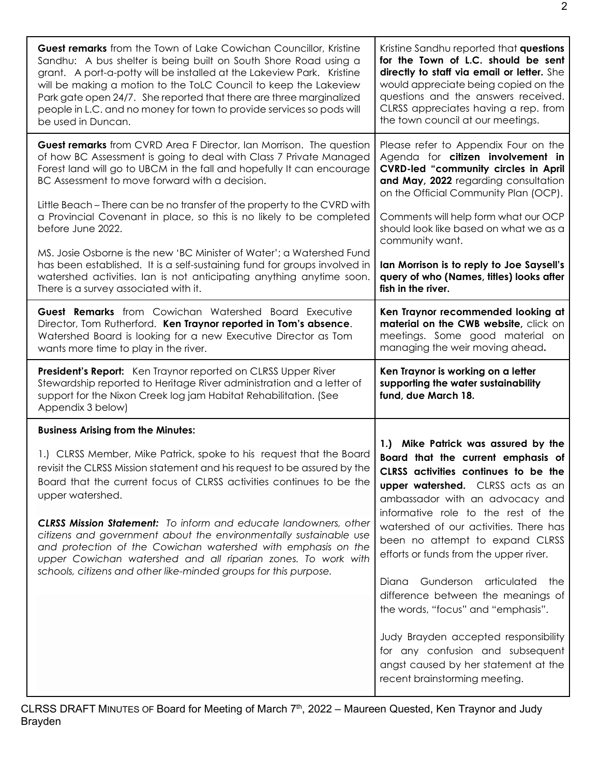| <b>Guest remarks</b> from the Town of Lake Cowichan Councillor, Kristine                                                                                                                                                                                                                                                                                                                                                                                                                                                                                                                                                                       | Kristine Sandhu reported that questions                                                                                                                                                                                                                                                                                                                                                                                                                                                                                                                                                                                           |
|------------------------------------------------------------------------------------------------------------------------------------------------------------------------------------------------------------------------------------------------------------------------------------------------------------------------------------------------------------------------------------------------------------------------------------------------------------------------------------------------------------------------------------------------------------------------------------------------------------------------------------------------|-----------------------------------------------------------------------------------------------------------------------------------------------------------------------------------------------------------------------------------------------------------------------------------------------------------------------------------------------------------------------------------------------------------------------------------------------------------------------------------------------------------------------------------------------------------------------------------------------------------------------------------|
| Sandhu: A bus shelter is being built on South Shore Road using a                                                                                                                                                                                                                                                                                                                                                                                                                                                                                                                                                                               | for the Town of L.C. should be sent                                                                                                                                                                                                                                                                                                                                                                                                                                                                                                                                                                                               |
| grant. A port-a-potty will be installed at the Lakeview Park. Kristine                                                                                                                                                                                                                                                                                                                                                                                                                                                                                                                                                                         | directly to staff via email or letter. She                                                                                                                                                                                                                                                                                                                                                                                                                                                                                                                                                                                        |
| will be making a motion to the ToLC Council to keep the Lakeview                                                                                                                                                                                                                                                                                                                                                                                                                                                                                                                                                                               | would appreciate being copied on the                                                                                                                                                                                                                                                                                                                                                                                                                                                                                                                                                                                              |
| Park gate open 24/7. She reported that there are three marginalized                                                                                                                                                                                                                                                                                                                                                                                                                                                                                                                                                                            | questions and the answers received.                                                                                                                                                                                                                                                                                                                                                                                                                                                                                                                                                                                               |
| people in L.C. and no money for town to provide services so pods will                                                                                                                                                                                                                                                                                                                                                                                                                                                                                                                                                                          | CLRSS appreciates having a rep. from                                                                                                                                                                                                                                                                                                                                                                                                                                                                                                                                                                                              |
| be used in Duncan.                                                                                                                                                                                                                                                                                                                                                                                                                                                                                                                                                                                                                             | the town council at our meetings.                                                                                                                                                                                                                                                                                                                                                                                                                                                                                                                                                                                                 |
| <b>Guest remarks</b> from CVRD Area F Director, Ian Morrison. The question                                                                                                                                                                                                                                                                                                                                                                                                                                                                                                                                                                     | Please refer to Appendix Four on the                                                                                                                                                                                                                                                                                                                                                                                                                                                                                                                                                                                              |
| of how BC Assessment is going to deal with Class 7 Private Managed                                                                                                                                                                                                                                                                                                                                                                                                                                                                                                                                                                             | Agenda for citizen involvement in                                                                                                                                                                                                                                                                                                                                                                                                                                                                                                                                                                                                 |
| Forest land will go to UBCM in the fall and hopefully It can encourage                                                                                                                                                                                                                                                                                                                                                                                                                                                                                                                                                                         | <b>CVRD-led "community circles in April</b>                                                                                                                                                                                                                                                                                                                                                                                                                                                                                                                                                                                       |
| BC Assessment to move forward with a decision.                                                                                                                                                                                                                                                                                                                                                                                                                                                                                                                                                                                                 | and May, 2022 regarding consultation                                                                                                                                                                                                                                                                                                                                                                                                                                                                                                                                                                                              |
| Little Beach – There can be no transfer of the property to the CVRD with                                                                                                                                                                                                                                                                                                                                                                                                                                                                                                                                                                       | on the Official Community Plan (OCP).                                                                                                                                                                                                                                                                                                                                                                                                                                                                                                                                                                                             |
| a Provincial Covenant in place, so this is no likely to be completed                                                                                                                                                                                                                                                                                                                                                                                                                                                                                                                                                                           | Comments will help form what our OCP                                                                                                                                                                                                                                                                                                                                                                                                                                                                                                                                                                                              |
| before June 2022.                                                                                                                                                                                                                                                                                                                                                                                                                                                                                                                                                                                                                              | should look like based on what we as a                                                                                                                                                                                                                                                                                                                                                                                                                                                                                                                                                                                            |
| MS. Josie Osborne is the new 'BC Minister of Water'; a Watershed Fund                                                                                                                                                                                                                                                                                                                                                                                                                                                                                                                                                                          | community want.                                                                                                                                                                                                                                                                                                                                                                                                                                                                                                                                                                                                                   |
| has been established. It is a self-sustaining fund for groups involved in                                                                                                                                                                                                                                                                                                                                                                                                                                                                                                                                                                      | Ian Morrison is to reply to Joe Saysell's                                                                                                                                                                                                                                                                                                                                                                                                                                                                                                                                                                                         |
| watershed activities. Ian is not anticipating anything anytime soon.                                                                                                                                                                                                                                                                                                                                                                                                                                                                                                                                                                           | query of who (Names, titles) looks after                                                                                                                                                                                                                                                                                                                                                                                                                                                                                                                                                                                          |
| There is a survey associated with it.                                                                                                                                                                                                                                                                                                                                                                                                                                                                                                                                                                                                          | fish in the river.                                                                                                                                                                                                                                                                                                                                                                                                                                                                                                                                                                                                                |
| <b>Guest Remarks</b> from Cowichan Watershed Board Executive                                                                                                                                                                                                                                                                                                                                                                                                                                                                                                                                                                                   | Ken Traynor recommended looking at                                                                                                                                                                                                                                                                                                                                                                                                                                                                                                                                                                                                |
| Director, Tom Rutherford. Ken Traynor reported in Tom's absence.                                                                                                                                                                                                                                                                                                                                                                                                                                                                                                                                                                               | material on the CWB website, click on                                                                                                                                                                                                                                                                                                                                                                                                                                                                                                                                                                                             |
| Watershed Board is looking for a new Executive Director as Tom                                                                                                                                                                                                                                                                                                                                                                                                                                                                                                                                                                                 | meetings. Some good material on                                                                                                                                                                                                                                                                                                                                                                                                                                                                                                                                                                                                   |
| wants more time to play in the river.                                                                                                                                                                                                                                                                                                                                                                                                                                                                                                                                                                                                          | managing the weir moving ahead.                                                                                                                                                                                                                                                                                                                                                                                                                                                                                                                                                                                                   |
| President's Report: Ken Traynor reported on CLRSS Upper River<br>Stewardship reported to Heritage River administration and a letter of<br>support for the Nixon Creek log jam Habitat Rehabilitation. (See<br>Appendix 3 below)                                                                                                                                                                                                                                                                                                                                                                                                                | Ken Traynor is working on a letter<br>supporting the water sustainability<br>fund, due March 18.                                                                                                                                                                                                                                                                                                                                                                                                                                                                                                                                  |
| <b>Business Arising from the Minutes:</b><br>1.) CLRSS Member, Mike Patrick, spoke to his request that the Board<br>revisit the CLRSS Mission statement and his request to be assured by the<br>Board that the current focus of CLRSS activities continues to be the<br>upper watershed.<br><b>CLRSS Mission Statement:</b> To inform and educate landowners, other<br>citizens and government about the environmentally sustainable use<br>and protection of the Cowichan watershed with emphasis on the<br>upper Cowichan watershed and all riparian zones. To work with<br>schools, citizens and other like-minded groups for this purpose. | 1.) Mike Patrick was assured by the<br>Board that the current emphasis of<br>CLRSS activities continues to be the<br>upper watershed. CLRSS acts as an<br>ambassador with an advocacy and<br>informative role to the rest of the<br>watershed of our activities. There has<br>been no attempt to expand CLRSS<br>efforts or funds from the upper river.<br>Gunderson<br>articulated the<br>Diana<br>difference between the meanings of<br>the words, "focus" and "emphasis".<br>Judy Brayden accepted responsibility<br>for any confusion and subsequent<br>angst caused by her statement at the<br>recent brainstorming meeting. |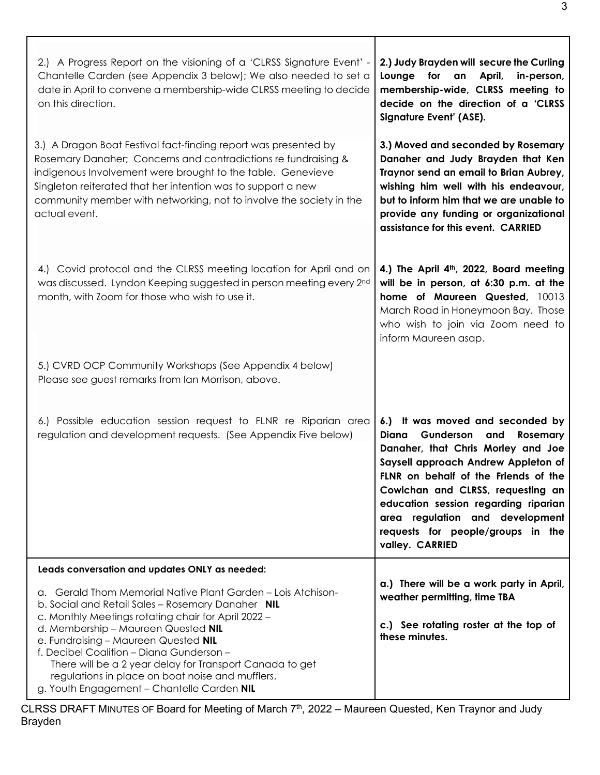| 2.) A Progress Report on the visioning of a 'CLRSS Signature Event' -<br>Chantelle Carden (see Appendix 3 below); We also needed to set a<br>date in April to convene a membership-wide CLRSS meeting to decide<br>on this direction.                                                                                                                                                                                                                             | 2.) Judy Brayden will secure the Curling<br>Lounge for an<br>April,<br>in-person,<br>membership-wide, CLRSS meeting to<br>decide on the direction of a 'CLRSS<br>Signature Event' (ASE).                                                                                                                                                                                   |
|-------------------------------------------------------------------------------------------------------------------------------------------------------------------------------------------------------------------------------------------------------------------------------------------------------------------------------------------------------------------------------------------------------------------------------------------------------------------|----------------------------------------------------------------------------------------------------------------------------------------------------------------------------------------------------------------------------------------------------------------------------------------------------------------------------------------------------------------------------|
| 3.) A Dragon Boat Festival fact-finding report was presented by<br>Rosemary Danaher; Concerns and contradictions re fundraising &<br>indigenous Involvement were brought to the table. Genevieve<br>Singleton reiterated that her intention was to support a new<br>community member with networking, not to involve the society in the<br>actual event.                                                                                                          | 3.) Moved and seconded by Rosemary<br>Danaher and Judy Brayden that Ken<br>Traynor send an email to Brian Aubrey,<br>wishing him well with his endeavour,<br>but to inform him that we are unable to<br>provide any funding or organizational<br>assistance for this event. CARRIED                                                                                        |
| 4.) Covid protocol and the CLRSS meeting location for April and on<br>was discussed. Lyndon Keeping suggested in person meeting every 2nd<br>month, with Zoom for those who wish to use it.                                                                                                                                                                                                                                                                       | 4.) The April 4 <sup>th</sup> , 2022, Board meeting<br>will be in person, at 6:30 p.m. at the<br>home of Maureen Quested, 10013<br>March Road in Honeymoon Bay. Those<br>who wish to join via Zoom need to<br>inform Maureen asap.                                                                                                                                         |
| 5.) CVRD OCP Community Workshops (See Appendix 4 below)<br>Please see guest remarks from Ian Morrison, above.                                                                                                                                                                                                                                                                                                                                                     |                                                                                                                                                                                                                                                                                                                                                                            |
| 6.) Possible education session request to FLNR re Riparian area<br>regulation and development requests. (See Appendix Five below)                                                                                                                                                                                                                                                                                                                                 | 6.) It was moved and seconded by<br>Diana<br>Gunderson and<br><b>Rosemary</b><br>Danaher, that Chris Morley and Joe<br>Saysell approach Andrew Appleton of<br>FLNR on behalf of the Friends of the<br>Cowichan and CLRSS, requesting an<br>education session regarding riparian<br>area regulation and development<br>requests for people/groups in the<br>valley. CARRIED |
| Leads conversation and updates ONLY as needed:                                                                                                                                                                                                                                                                                                                                                                                                                    |                                                                                                                                                                                                                                                                                                                                                                            |
| a. Gerald Thom Memorial Native Plant Garden - Lois Atchison-<br>b. Social and Retail Sales - Rosemary Danaher NIL<br>c. Monthly Meetings rotating chair for April 2022 -<br>d. Membership - Maureen Quested NIL<br>e. Fundraising - Maureen Quested NIL<br>f. Decibel Coalition - Diana Gunderson -<br>There will be a 2 year delay for Transport Canada to get<br>regulations in place on boat noise and mufflers.<br>g. Youth Engagement - Chantelle Carden NIL | a.) There will be a work party in April,<br>weather permitting, time TBA<br>c.) See rotating roster at the top of<br>these minutes.                                                                                                                                                                                                                                        |

Τ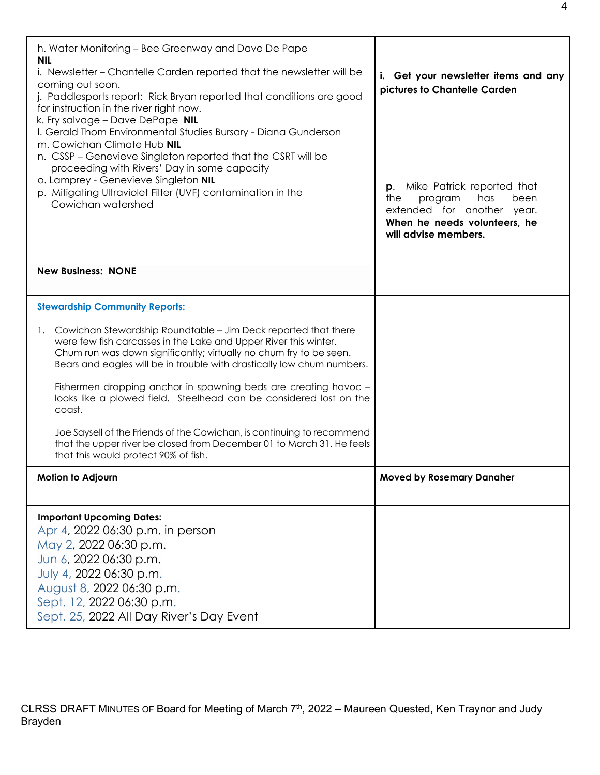| h. Water Monitoring – Bee Greenway and Dave De Pape<br><b>NIL</b><br>i. Newsletter - Chantelle Carden reported that the newsletter will be<br>coming out soon.<br>j. Paddlesports report: Rick Bryan reported that conditions are good<br>for instruction in the river right now.<br>k. Fry salvage - Dave DePape NIL<br>I. Gerald Thom Environmental Studies Bursary - Diana Gunderson | i. Get your newsletter items and any<br>pictures to Chantelle Carden                                                                                    |  |
|-----------------------------------------------------------------------------------------------------------------------------------------------------------------------------------------------------------------------------------------------------------------------------------------------------------------------------------------------------------------------------------------|---------------------------------------------------------------------------------------------------------------------------------------------------------|--|
| m. Cowichan Climate Hub NIL<br>n. CSSP – Genevieve Singleton reported that the CSRT will be<br>proceeding with Rivers' Day in some capacity<br>o. Lamprey - Genevieve Singleton NIL<br>p. Mitigating Ultraviolet Filter (UVF) contamination in the<br>Cowichan watershed                                                                                                                | Mike Patrick reported that<br>p.<br>the<br>has<br>program<br>been<br>extended for another year.<br>When he needs volunteers, he<br>will advise members. |  |
| <b>New Business: NONE</b>                                                                                                                                                                                                                                                                                                                                                               |                                                                                                                                                         |  |
| <b>Stewardship Community Reports:</b>                                                                                                                                                                                                                                                                                                                                                   |                                                                                                                                                         |  |
| Cowichan Stewardship Roundtable – Jim Deck reported that there<br>1.<br>were few fish carcasses in the Lake and Upper River this winter.<br>Chum run was down significantly; virtually no chum fry to be seen.<br>Bears and eagles will be in trouble with drastically low chum numbers.                                                                                                |                                                                                                                                                         |  |
| Fishermen dropping anchor in spawning beds are creating havoc -<br>looks like a plowed field. Steelhead can be considered lost on the<br>coast.                                                                                                                                                                                                                                         |                                                                                                                                                         |  |
| Joe Saysell of the Friends of the Cowichan, is continuing to recommend<br>that the upper river be closed from December 01 to March 31. He feels<br>that this would protect 90% of fish.                                                                                                                                                                                                 |                                                                                                                                                         |  |
| Motion to Adjourn                                                                                                                                                                                                                                                                                                                                                                       | <b>Moved by Rosemary Danaher</b>                                                                                                                        |  |
| <b>Important Upcoming Dates:</b><br>Apr 4, 2022 06:30 p.m. in person<br>May 2, 2022 06:30 p.m.<br>Jun 6, 2022 06:30 p.m.<br>July 4, 2022 06:30 p.m.<br>August 8, 2022 06:30 p.m.<br>Sept. 12, 2022 06:30 p.m.<br>Sept. 25, 2022 All Day River's Day Event                                                                                                                               |                                                                                                                                                         |  |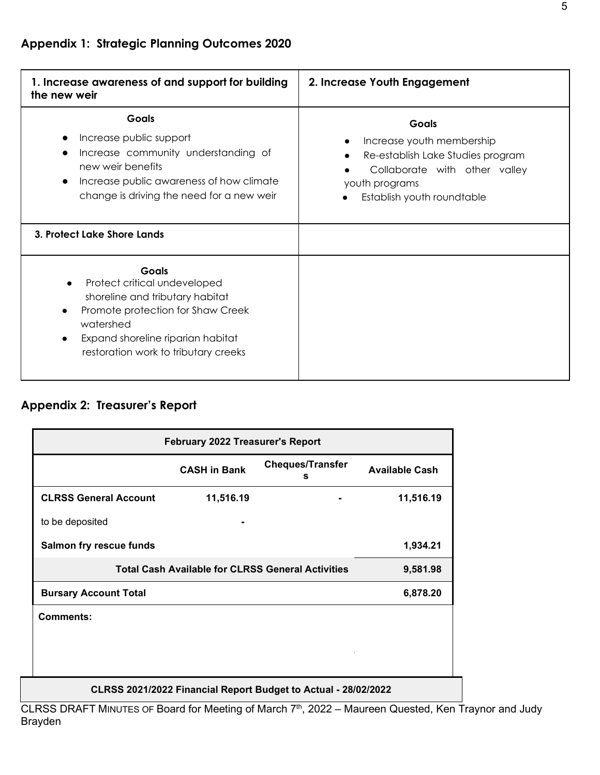| 1. Increase awareness of and support for building<br>the new weir                                                                                                                                              | 2. Increase Youth Engagement                                                                                                                                    |
|----------------------------------------------------------------------------------------------------------------------------------------------------------------------------------------------------------------|-----------------------------------------------------------------------------------------------------------------------------------------------------------------|
| <b>Goals</b><br>Increase public support<br>Increase community understanding of<br>new weir benefits<br>Increase public awareness of how climate<br>change is driving the need for a new weir                   | <b>Goals</b><br>Increase youth membership<br>Re-establish Lake Studies program<br>Collaborate with other valley<br>youth programs<br>Establish youth roundtable |
| 3. Protect Lake Shore Lands                                                                                                                                                                                    |                                                                                                                                                                 |
| <b>Goals</b><br>Protect critical undeveloped<br>shoreline and tributary habitat<br>Promote protection for Shaw Creek<br>watershed<br>Expand shoreline riparian habitat<br>restoration work to tributary creeks |                                                                                                                                                                 |

# **Appendix 2: Treasurer's Report**

| <b>February 2022 Treasurer's Report</b>                        |                                                          |          |                       |
|----------------------------------------------------------------|----------------------------------------------------------|----------|-----------------------|
|                                                                | <b>Cheques/Transfer</b><br><b>CASH in Bank</b><br>s      |          | <b>Available Cash</b> |
| <b>CLRSS General Account</b>                                   | 11,516.19                                                |          | 11,516.19             |
| to be deposited                                                |                                                          |          |                       |
| Salmon fry rescue funds                                        |                                                          |          | 1,934.21              |
|                                                                | <b>Total Cash Available for CLRSS General Activities</b> | 9,581.98 |                       |
| <b>Bursary Account Total</b>                                   | 6,878.20                                                 |          |                       |
| <b>Comments:</b>                                               |                                                          |          |                       |
|                                                                |                                                          |          |                       |
|                                                                |                                                          |          |                       |
| CLRSS 2021/2022 Financial Report Budget to Actual - 28/02/2022 |                                                          |          |                       |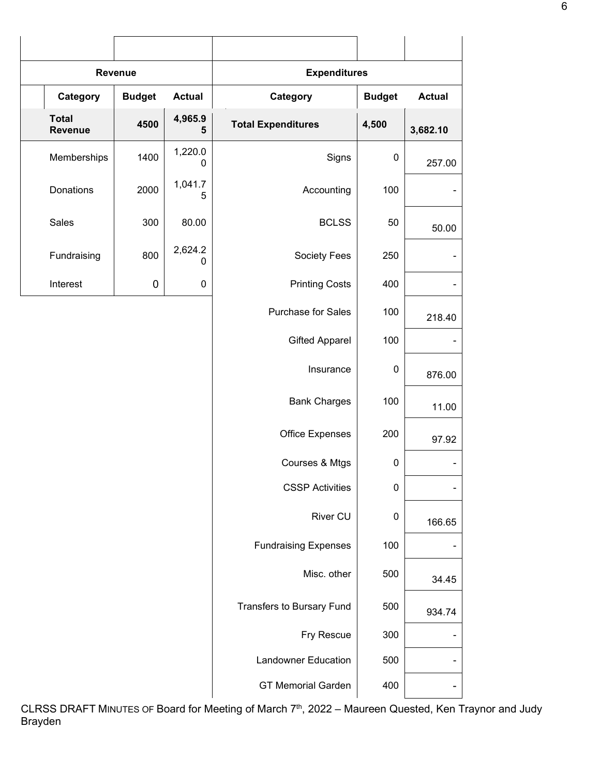| Revenue                        |               |               | <b>Expenditures</b>         |             |               |
|--------------------------------|---------------|---------------|-----------------------------|-------------|---------------|
| Category                       | <b>Budget</b> | <b>Actual</b> | Category<br><b>Budget</b>   |             | <b>Actual</b> |
| <b>Total</b><br><b>Revenue</b> | 4500          | 4,965.9<br>5  | <b>Total Expenditures</b>   | 4,500       | 3,682.10      |
| Memberships                    | 1400          | 1,220.0<br>0  | Signs                       | $\pmb{0}$   | 257.00        |
| Donations                      | 2000          | 1,041.7<br>5  | Accounting                  | 100         |               |
| Sales                          | 300           | 80.00         | <b>BCLSS</b>                | 50          | 50.00         |
| Fundraising                    | 800           | 2,624.2<br>0  | Society Fees                | 250         |               |
| Interest                       | $\pmb{0}$     | 0             | <b>Printing Costs</b>       | 400         |               |
|                                |               |               | Purchase for Sales          | 100         | 218.40        |
|                                |               |               | <b>Gifted Apparel</b>       | 100         |               |
|                                |               |               | Insurance                   | $\pmb{0}$   | 876.00        |
|                                |               |               | <b>Bank Charges</b>         | 100         | 11.00         |
|                                |               |               | Office Expenses             | 200         | 97.92         |
|                                |               |               | Courses & Mtgs              | $\mathbf 0$ |               |
|                                |               |               | <b>CSSP Activities</b>      | $\pmb{0}$   |               |
|                                |               |               | River CU                    | $\pmb{0}$   | 166.65        |
|                                |               |               | <b>Fundraising Expenses</b> | 100         |               |
|                                |               |               | Misc. other                 | 500         | 34.45         |
|                                |               |               | Transfers to Bursary Fund   | 500         | 934.74        |
|                                |               |               | Fry Rescue                  | 300         |               |
|                                |               |               | <b>Landowner Education</b>  | 500         |               |
|                                |               |               | <b>GT Memorial Garden</b>   | 400         |               |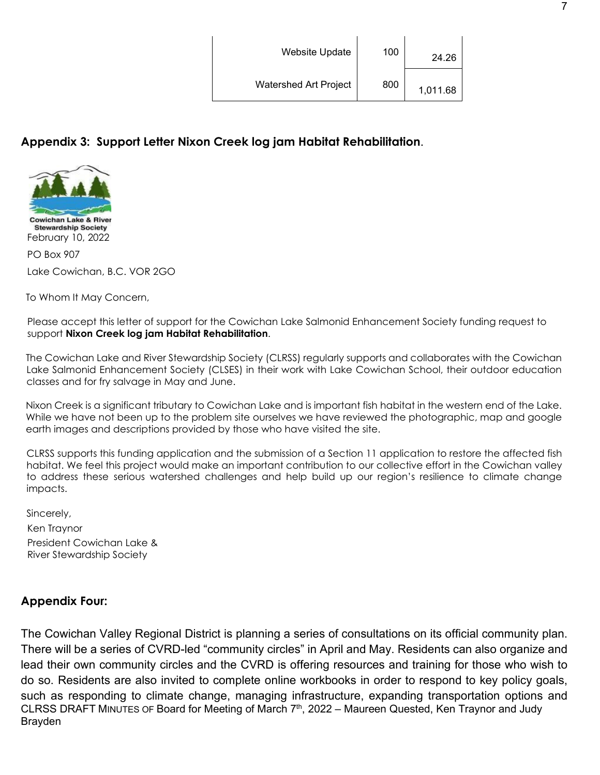| <b>Website Update</b>        | 100 | 24.26    |
|------------------------------|-----|----------|
| <b>Watershed Art Project</b> | 800 | 1,011.68 |

## **Appendix 3: Support Letter Nixon Creek log jam Habitat Rehabilitation**.



PO Box 907 Lake Cowichan, B.C. VOR 2GO

To Whom It May Concern,

Please accept this letter of support for the Cowichan Lake Salmonid Enhancement Society funding request to support **Nixon Creek log jam Habitat Rehabilitation**.

The Cowichan Lake and River Stewardship Society (CLRSS) regularly supports and collaborates with the Cowichan Lake Salmonid Enhancement Society (CLSES) in their work with Lake Cowichan School, their outdoor education classes and for fry salvage in May and June.

Nixon Creek is a significant tributary to Cowichan Lake and is important fish habitat in the western end of the Lake. While we have not been up to the problem site ourselves we have reviewed the photographic, map and google earth images and descriptions provided by those who have visited the site.

CLRSS supports this funding application and the submission of a Section 11 application to restore the affected fish habitat. We feel this project would make an important contribution to our collective effort in the Cowichan valley to address these serious watershed challenges and help build up our region's resilience to climate change impacts.

Sincerely,

Ken Traynor President Cowichan Lake & River Stewardship Society

## **Appendix Four:**

CLRSS DRAFT MINUTES OF Board for Meeting of March  $7<sup>th</sup>$ , 2022 – Maureen Quested, Ken Traynor and Judy Brayden The Cowichan Valley Regional District is planning a series of consultations on its official community plan. There will be a series of CVRD-led "community circles" in April and May. Residents can also organize and lead their own community circles and the CVRD is offering resources and training for those who wish to do so. Residents are also invited to complete online workbooks in order to respond to key policy goals, such as responding to climate change, managing infrastructure, expanding transportation options and